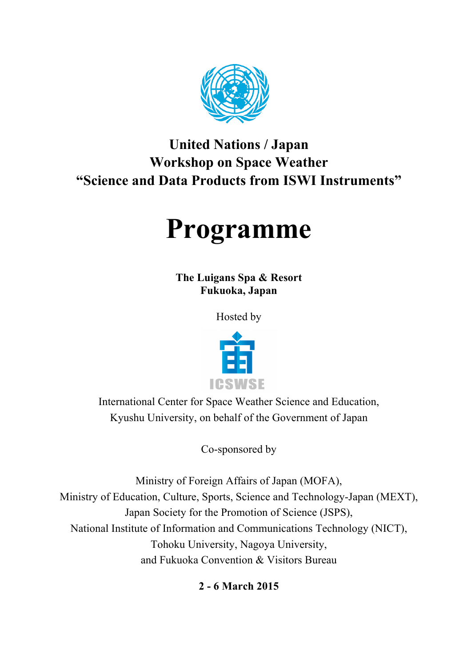

# **United Nations / Japan Workshop on Space Weather "Science and Data Products from ISWI Instruments"**

# **Programme**

**The Luigans Spa & Resort Fukuoka, Japan**

Hosted by



International Center for Space Weather Science and Education, Kyushu University, on behalf of the Government of Japan

Co-sponsored by

Ministry of Foreign Affairs of Japan (MOFA), Ministry of Education, Culture, Sports, Science and Technology-Japan (MEXT), Japan Society for the Promotion of Science (JSPS), National Institute of Information and Communications Technology (NICT), Tohoku University, Nagoya University, and Fukuoka Convention & Visitors Bureau

**2 - 6 March 2015**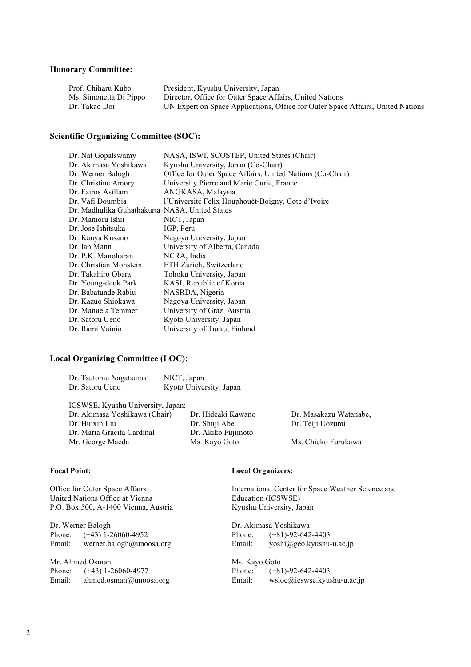#### **Honorary Committee:**

| Prof. Chiharu Kubo     | President, Kyushu University, Japan                                             |
|------------------------|---------------------------------------------------------------------------------|
| Ms. Simonetta Di Pippo | Director, Office for Outer Space Affairs, United Nations                        |
| Dr. Takao Doi          | UN Expert on Space Applications, Office for Outer Space Affairs, United Nations |

#### **Scientific Organizing Committee (SOC):**

| Dr. Nat Gopalswamy                             | NASA, ISWI, SCOSTEP, United States (Chair)                |
|------------------------------------------------|-----------------------------------------------------------|
| Dr. Akimasa Yoshikawa                          | Kyushu University, Japan (Co-Chair)                       |
| Dr. Werner Balogh                              | Office for Outer Space Affairs, United Nations (Co-Chair) |
| Dr. Christine Amory                            | University Pierre and Marie Curie, France                 |
| Dr. Fairos Asillam                             | ANGKASA, Malaysia                                         |
| Dr. Vafi Doumbia                               | l'Université Felix Houphouët-Boigny, Cote d'Ivoire        |
| Dr. Madhulika Guhathakurta NASA, United States |                                                           |
| Dr. Mamoru Ishii                               | NICT, Japan                                               |
| Dr. Jose Ishitsuka                             | IGP, Peru                                                 |
| Dr. Kanya Kusano                               | Nagoya University, Japan                                  |
| Dr. Ian Mann                                   | University of Alberta, Canada                             |
| Dr. P.K. Manoharan                             | NCRA, India                                               |
| Dr. Christian Monstein                         | ETH Zurich, Switzerland                                   |
| Dr. Takahiro Obara                             | Tohoku University, Japan                                  |
| Dr. Young-deuk Park                            | KASI, Republic of Korea                                   |
| Dr. Babatunde Rabiu                            | NASRDA, Nigeria                                           |
| Dr. Kazuo Shiokawa                             | Nagoya University, Japan                                  |
| Dr. Manuela Temmer                             | University of Graz, Austria                               |
| Dr. Satoru Ueno                                | Kyoto University, Japan                                   |
| Dr. Rami Vainio                                | University of Turku, Finland                              |

#### **Local Organizing Committee (LOC):**

Dr. Tsutomu Nagatsuma NICT, Japan

| Dr. Satoru Ueno                   | Kyoto University, Japan |                        |
|-----------------------------------|-------------------------|------------------------|
| ICSWSE, Kyushu University, Japan: |                         |                        |
| Dr. Akimasa Yoshikawa (Chair)     | Dr. Hideaki Kawano      | Dr. Masakazu Watanabe, |
| Dr. Huixin Liu                    | Dr. Shuji Abe           | Dr. Teiji Uozumi       |
| Dr. Maria Gracita Cardinal        | Dr. Akiko Fujimoto      |                        |
| Mr. George Maeda                  | Ms. Kayo Goto           | Ms. Chieko Furukawa    |
|                                   |                         |                        |
|                                   |                         |                        |

#### **Focal Point:**

Office for Outer Space Affairs United Nations Office at Vienna P.O. Box 500, A-1400 Vienna, Austria

Dr. Werner Balogh Phone:  $(+43)$  1-26060-4952<br>Email: werner.balogh@unoo werner.balogh@unoosa.org

Mr. Ahmed Osman Phone: (+43) 1-26060-4977 Email: ahmed.osman@unoosa.org

#### **Local Organizers:**

International Center for Space Weather Science and Education (ICSWSE) Kyushu University, Japan

Dr. Akimasa Yoshikawa Phone:  $(+81)-92-642-4403$ <br>Email:  $vosh(a)$ geo.kyushuyoshi@geo.kyushu-u.ac.jp

Ms. Kayo Goto Phone: (+81)-92-642-4403 Email: wsloc@icswse.kyushu-u.ac.jp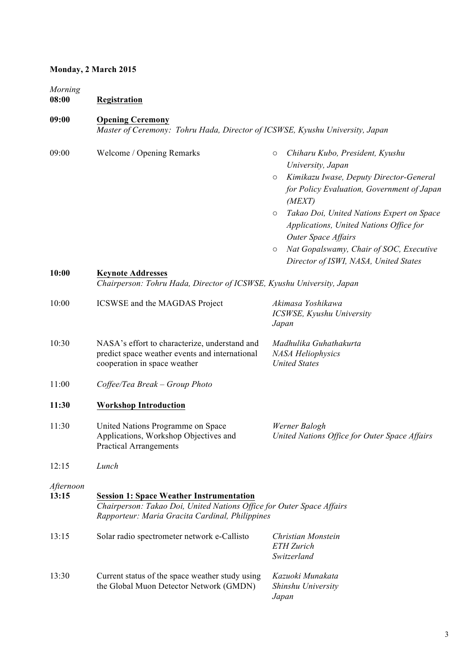# **Monday, 2 March 2015**

*Morning*

#### **09:00 Opening Ceremony**

*Master of Ceremony: Tohru Hada, Director of ICSWSE, Kyushu University, Japan*

| 09:00              | Welcome / Opening Remarks                                                                                                                                                   | Chiharu Kubo, President, Kyushu<br>$\circ$<br>University, Japan                                                                                                              |
|--------------------|-----------------------------------------------------------------------------------------------------------------------------------------------------------------------------|------------------------------------------------------------------------------------------------------------------------------------------------------------------------------|
|                    |                                                                                                                                                                             | Kimikazu Iwase, Deputy Director-General<br>$\circ$<br>for Policy Evaluation, Government of Japan<br>(MEXT)                                                                   |
|                    |                                                                                                                                                                             | Takao Doi, United Nations Expert on Space<br>$\circ$<br>Applications, United Nations Office for<br>Outer Space Affairs<br>Nat Gopalswamy, Chair of SOC, Executive<br>$\circ$ |
|                    |                                                                                                                                                                             | Director of ISWI, NASA, United States                                                                                                                                        |
| 10:00              | <b>Keynote Addresses</b><br>Chairperson: Tohru Hada, Director of ICSWSE, Kyushu University, Japan                                                                           |                                                                                                                                                                              |
| 10:00              | ICSWSE and the MAGDAS Project                                                                                                                                               | Akimasa Yoshikawa<br>ICSWSE, Kyushu University<br>Japan                                                                                                                      |
| 10:30              | NASA's effort to characterize, understand and<br>predict space weather events and international<br>cooperation in space weather                                             | Madhulika Guhathakurta<br>NASA Heliophysics<br><b>United States</b>                                                                                                          |
| 11:00              | $Coffee/Tea$ Break – Group Photo                                                                                                                                            |                                                                                                                                                                              |
| 11:30              | <b>Workshop Introduction</b>                                                                                                                                                |                                                                                                                                                                              |
| 11:30              | United Nations Programme on Space<br>Applications, Workshop Objectives and<br><b>Practical Arrangements</b>                                                                 | Werner Balogh<br>United Nations Office for Outer Space Affairs                                                                                                               |
| 12:15              | Lunch                                                                                                                                                                       |                                                                                                                                                                              |
| Afternoon<br>13:15 | <b>Session 1: Space Weather Instrumentation</b><br>Chairperson: Takao Doi, United Nations Office for Outer Space Affairs<br>Rapporteur: Maria Gracita Cardinal, Philippines |                                                                                                                                                                              |
| 13:15              | Solar radio spectrometer network e-Callisto                                                                                                                                 | Christian Monstein<br><b>ETH</b> Zurich<br>Switzerland                                                                                                                       |
| 13:30              | Current status of the space weather study using<br>the Global Muon Detector Network (GMDN)                                                                                  | Kazuoki Munakata<br>Shinshu University<br>Japan                                                                                                                              |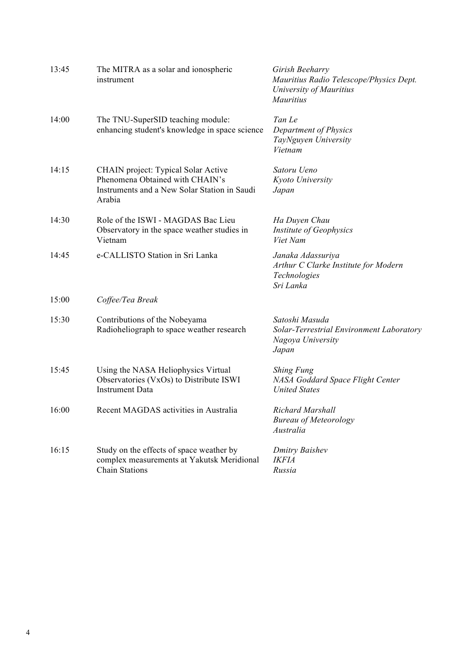| 13:45 | The MITRA as a solar and ionospheric<br>instrument                                                                               | Girish Beeharry<br>Mauritius Radio Telescope/Physics Dept.<br>University of Mauritius<br>Mauritius |
|-------|----------------------------------------------------------------------------------------------------------------------------------|----------------------------------------------------------------------------------------------------|
| 14:00 | The TNU-SuperSID teaching module:<br>enhancing student's knowledge in space science                                              | Tan Le<br>Department of Physics<br>TayNguyen University<br>Vietnam                                 |
| 14:15 | CHAIN project: Typical Solar Active<br>Phenomena Obtained with CHAIN's<br>Instruments and a New Solar Station in Saudi<br>Arabia | Satoru Ueno<br>Kyoto University<br>Japan                                                           |
| 14:30 | Role of the ISWI - MAGDAS Bac Lieu<br>Observatory in the space weather studies in<br>Vietnam                                     | Ha Duyen Chau<br>Institute of Geophysics<br>Viet Nam                                               |
| 14:45 | e-CALLISTO Station in Sri Lanka                                                                                                  | Janaka Adassuriya<br>Arthur C Clarke Institute for Modern<br>Technologies<br>Sri Lanka             |
| 15:00 | Coffee/Tea Break                                                                                                                 |                                                                                                    |
| 15:30 | Contributions of the Nobeyama<br>Radioheliograph to space weather research                                                       | Satoshi Masuda<br>Solar-Terrestrial Environment Laboratory<br>Nagoya University<br>Japan           |
| 15:45 | Using the NASA Heliophysics Virtual<br>Observatories (VxOs) to Distribute ISWI<br><b>Instrument Data</b>                         | <b>Shing Fung</b><br>NASA Goddard Space Flight Center<br><b>United States</b>                      |
| 16:00 | Recent MAGDAS activities in Australia                                                                                            | Richard Marshall<br><b>Bureau of Meteorology</b><br>Australia                                      |
| 16:15 | Study on the effects of space weather by<br>complex measurements at Yakutsk Meridional<br><b>Chain Stations</b>                  | <b>Dmitry Baishev</b><br><b>IKFIA</b><br>Russia                                                    |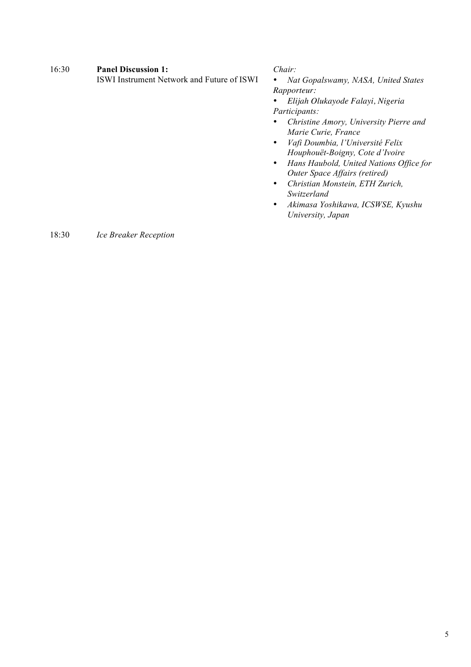#### 16:30 **Panel Discussion 1:**

ISWI Instrument Network and Future of ISWI

*Chair:*

• *Nat Gopalswamy, NASA, United States Rapporteur:* 

• *Elijah Olukayode Falayi, Nigeria Participants:*

- *Christine Amory, University Pierre and Marie Curie, France*
- *Vafi Doumbia, l'Université Felix Houphouët-Boigny, Cote d'Ivoire*
- *Hans Haubold, United Nations Office for Outer Space Affairs (retired)*
- *Christian Monstein, ETH Zurich, Switzerland*
- *Akimasa Yoshikawa, ICSWSE, Kyushu University, Japan*

# 18:30 *Ice Breaker Reception*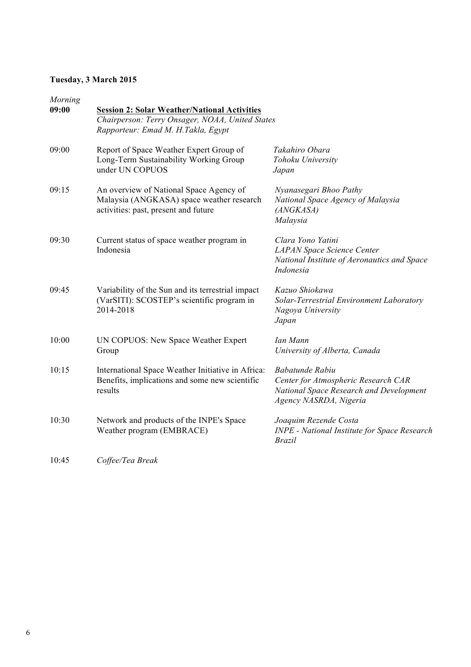# **Tuesday, 3 March 2015**

| Chairperson: Terry Onsager, NOAA, United States<br>Rapporteur: Emad M. H.Takla, Egypt                                        |                                                                                                                                    |  |
|------------------------------------------------------------------------------------------------------------------------------|------------------------------------------------------------------------------------------------------------------------------------|--|
| Report of Space Weather Expert Group of<br>Long-Term Sustainability Working Group<br>under UN COPUOS                         | Takahiro Obara<br>Tohoku University<br>Japan                                                                                       |  |
| An overview of National Space Agency of<br>Malaysia (ANGKASA) space weather research<br>activities: past, present and future | Nyanasegari Bhoo Pathy<br>National Space Agency of Malaysia<br>(ANGKASA)<br>Malaysia                                               |  |
| Current status of space weather program in<br>Indonesia                                                                      | Clara Yono Yatini<br><b>LAPAN Space Science Center</b><br>National Institute of Aeronautics and Space<br>Indonesia                 |  |
| Variability of the Sun and its terrestrial impact<br>(VarSITI): SCOSTEP's scientific program in<br>2014-2018                 | Kazuo Shiokawa<br>Solar-Terrestrial Environment Laboratory<br>Nagoya University<br>Japan                                           |  |
| UN COPUOS: New Space Weather Expert<br>Group                                                                                 | Ian Mann<br>University of Alberta, Canada                                                                                          |  |
| International Space Weather Initiative in Africa:<br>Benefits, implications and some new scientific<br>results               | <b>Babatunde Rabiu</b><br>Center for Atmospheric Research CAR<br>National Space Research and Development<br>Agency NASRDA, Nigeria |  |
| Network and products of the INPE's Space<br>Weather program (EMBRACE)                                                        | Joaquim Rezende Costa<br><b>INPE - National Institute for Space Research</b><br><i>Brazil</i>                                      |  |
|                                                                                                                              | <b>Session 2: Solar Weather/National Activities</b>                                                                                |  |

10:45 *Coffee/Tea Break*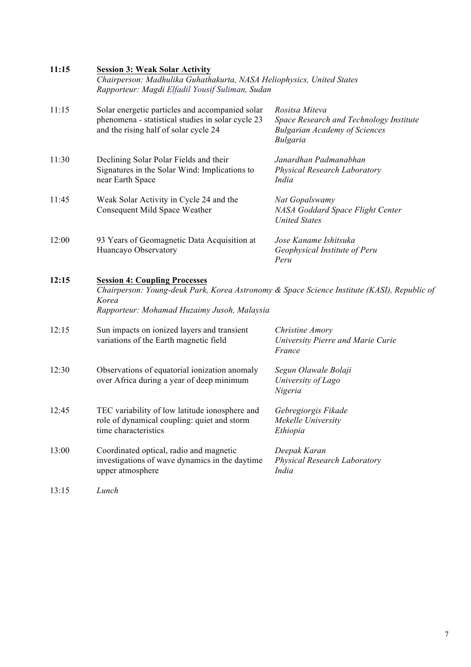| 11:15 | <b>Session 3: Weak Solar Activity</b><br>Chairperson: Madhulika Guhathakurta, NASA Heliophysics, United States<br>Rapporteur: Magdi Elfadil Yousif Suliman, Sudan |                                                                                                                      |  |
|-------|-------------------------------------------------------------------------------------------------------------------------------------------------------------------|----------------------------------------------------------------------------------------------------------------------|--|
| 11:15 | Solar energetic particles and accompanied solar<br>phenomena - statistical studies in solar cycle 23<br>and the rising half of solar cycle 24                     | Rositsa Miteva<br>Space Research and Technology Institute<br><b>Bulgarian Academy of Sciences</b><br><b>Bulgaria</b> |  |
| 11:30 | Declining Solar Polar Fields and their<br>Signatures in the Solar Wind: Implications to<br>near Earth Space                                                       | Janardhan Padmanabhan<br>Physical Research Laboratory<br>India                                                       |  |
| 11:45 | Weak Solar Activity in Cycle 24 and the<br>Consequent Mild Space Weather                                                                                          | Nat Gopalswamy<br>NASA Goddard Space Flight Center<br><b>United States</b>                                           |  |
| 12:00 | 93 Years of Geomagnetic Data Acquisition at<br>Huancayo Observatory                                                                                               | Jose Kaname Ishitsuka<br>Geophysical Institute of Peru<br>Peru                                                       |  |
| 12:15 | <b>Session 4: Coupling Processes</b><br>Korea<br>Rapporteur: Mohamad Huzaimy Jusoh, Malaysia                                                                      | Chairperson: Young-deuk Park, Korea Astronomy & Space Science Institute (KASI), Republic of                          |  |
| 12:15 | Sun impacts on ionized layers and transient<br>variations of the Earth magnetic field                                                                             | Christine Amory<br>University Pierre and Marie Curie<br>France                                                       |  |
| 12:30 | Observations of equatorial ionization anomaly<br>over Africa during a year of deep minimum                                                                        | Segun Olawale Bolaji<br>University of Lago<br>Nigeria                                                                |  |
| 12:45 | TEC variability of low latitude ionosphere and<br>role of dynamical coupling: quiet and storm<br>time characteristics                                             | Gebregiorgis Fikade<br>Mekelle University<br>Ethiopia                                                                |  |
| 13:00 | Coordinated optical, radio and magnetic<br>investigations of wave dynamics in the daytime<br>upper atmosphere                                                     | Deepak Karan<br>Physical Research Laboratory<br>India                                                                |  |
| 13:15 | Lunch                                                                                                                                                             |                                                                                                                      |  |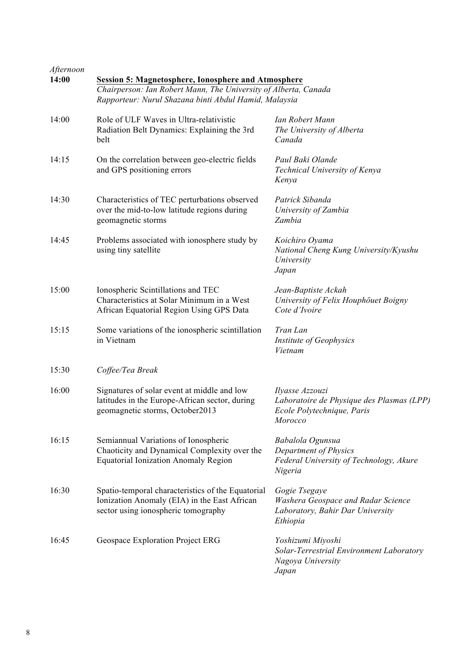| Afternoon<br>14:00 | <b>Session 5: Magnetosphere, Ionosphere and Atmosphere</b><br>Chairperson: Ian Robert Mann, The University of Alberta, Canada<br>Rapporteur: Nurul Shazana binti Abdul Hamid, Malaysia |                                                                                                              |
|--------------------|----------------------------------------------------------------------------------------------------------------------------------------------------------------------------------------|--------------------------------------------------------------------------------------------------------------|
| 14:00              | Role of ULF Waves in Ultra-relativistic<br>Radiation Belt Dynamics: Explaining the 3rd<br>belt                                                                                         | Ian Robert Mann<br>The University of Alberta<br>Canada                                                       |
| 14:15              | On the correlation between geo-electric fields<br>and GPS positioning errors                                                                                                           | Paul Baki Olande<br>Technical University of Kenya<br>Kenya                                                   |
| 14:30              | Characteristics of TEC perturbations observed<br>over the mid-to-low latitude regions during<br>geomagnetic storms                                                                     | Patrick Sibanda<br>University of Zambia<br>Zambia                                                            |
| 14:45              | Problems associated with ionosphere study by<br>using tiny satellite                                                                                                                   | Koichiro Oyama<br>National Cheng Kung University/Kyushu<br>University<br>Japan                               |
| 15:00              | Ionospheric Scintillations and TEC<br>Characteristics at Solar Minimum in a West<br>African Equatorial Region Using GPS Data                                                           | Jean-Baptiste Ackah<br>University of Felix Houphouet Boigny<br>Cote d'Ivoire                                 |
| 15:15              | Some variations of the ionospheric scintillation<br>in Vietnam                                                                                                                         | Tran Lan<br>Institute of Geophysics<br>Vietnam                                                               |
| 15:30              | Coffee/Tea Break                                                                                                                                                                       |                                                                                                              |
| 16:00              | Signatures of solar event at middle and low<br>latitudes in the Europe-African sector, during<br>geomagnetic storms, October2013                                                       | Ilyasse Azzouzi<br>Laboratoire de Physique des Plasmas (LPP)<br>Ecole Polytechnique, Paris<br><b>Morocco</b> |
| 16:15              | Semiannual Variations of Ionospheric<br>Chaoticity and Dynamical Complexity over the<br><b>Equatorial Ionization Anomaly Region</b>                                                    | Babalola Ogunsua<br>Department of Physics<br>Federal University of Technology, Akure<br>Nigeria              |
| 16:30              | Spatio-temporal characteristics of the Equatorial<br>Ionization Anomaly (EIA) in the East African<br>sector using ionospheric tomography                                               | Gogie Tsegaye<br>Washera Geospace and Radar Science<br>Laboratory, Bahir Dar University<br>Ethiopia          |
| 16:45              | Geospace Exploration Project ERG                                                                                                                                                       | Yoshizumi Miyoshi<br>Solar-Terrestrial Environment Laboratory<br>Nagoya University<br>Japan                  |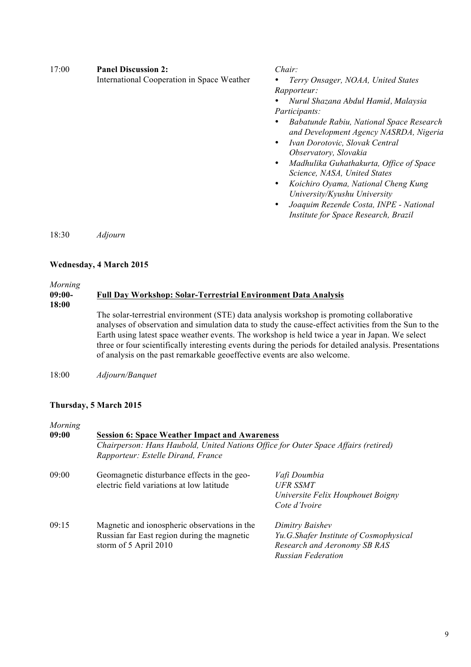| 17:00 | <b>Panel Discussion 2:</b><br>International Cooperation in Space Weather | Chair:<br>Terry Onsager, NOAA, United States<br>Rapporteur:<br>Nurul Shazana Abdul Hamid, Malaysia<br>Participants:<br>Babatunde Rabiu, National Space Research<br>٠<br>and Development Agency NASRDA, Nigeria<br>Ivan Dorotovic, Slovak Central<br>$\bullet$<br>Observatory, Slovakia<br>Madhulika Guhathakurta, Office of Space<br>٠<br>Science, NASA, United States<br>Koichiro Oyama, National Cheng Kung<br>٠ |
|-------|--------------------------------------------------------------------------|--------------------------------------------------------------------------------------------------------------------------------------------------------------------------------------------------------------------------------------------------------------------------------------------------------------------------------------------------------------------------------------------------------------------|
|       |                                                                          | University/Kyushu University<br>Joaquim Rezende Costa, INPE - National<br>٠<br>Institute for Space Research, Brazil                                                                                                                                                                                                                                                                                                |

18:30 *Adjourn*

# **Wednesday, 4 March 2015**

#### *Morning* **09:00- 18:00 Full Day Workshop: Solar-Terrestrial Environment Data Analysis** The solar-terrestrial environment (STE) data analysis workshop is promoting collaborative analyses of observation and simulation data to study the cause-effect activities from the Sun to the Earth using latest space weather events. The workshop is held twice a year in Japan. We select three or four scientifically interesting events during the periods for detailed analysis. Presentations of analysis on the past remarkable geoeffective events are also welcome.

18:00 *Adjourn/Banquet*

## **Thursday, 5 March 2015**

| Morning |                                                                                                                                            |                                        |  |
|---------|--------------------------------------------------------------------------------------------------------------------------------------------|----------------------------------------|--|
| 09:00   | <b>Session 6: Space Weather Impact and Awareness</b><br>Chairperson: Hans Haubold, United Nations Office for Outer Space Affairs (retired) |                                        |  |
|         |                                                                                                                                            |                                        |  |
|         | Rapporteur: Estelle Dirand, France                                                                                                         |                                        |  |
| 09:00   | Geomagnetic disturbance effects in the geo-                                                                                                | Vafi Doumbia                           |  |
|         | electric field variations at low latitude                                                                                                  | <b>UFR SSMT</b>                        |  |
|         |                                                                                                                                            | Universite Felix Houphouet Boigny      |  |
|         |                                                                                                                                            | Cote d'Ivoire                          |  |
| 09:15   | Magnetic and ionospheric observations in the                                                                                               | Dimitry Baishev                        |  |
|         | Russian far East region during the magnetic                                                                                                | Yu.G.Shafer Institute of Cosmophysical |  |
|         | storm of 5 April 2010                                                                                                                      | Research and Aeronomy SB RAS           |  |
|         |                                                                                                                                            | <b>Russian Federation</b>              |  |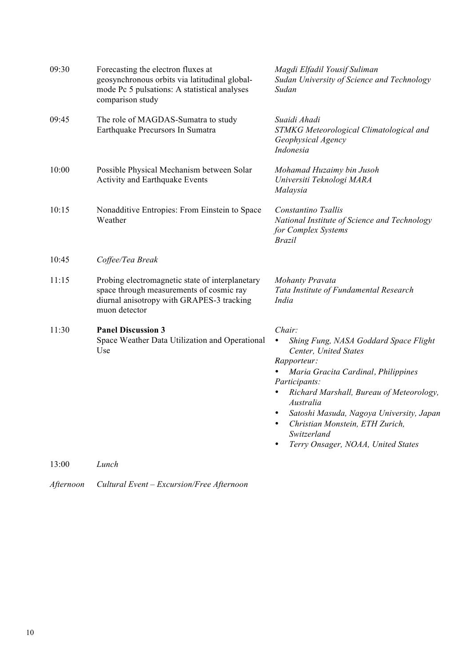| 09:30 | Forecasting the electron fluxes at<br>geosynchronous orbits via latitudinal global-<br>mode Pc 5 pulsations: A statistical analyses<br>comparison study   | Magdi Elfadil Yousif Suliman<br>Sudan University of Science and Technology<br>Sudan                                                                                                                                                                                                                                                                                                                           |
|-------|-----------------------------------------------------------------------------------------------------------------------------------------------------------|---------------------------------------------------------------------------------------------------------------------------------------------------------------------------------------------------------------------------------------------------------------------------------------------------------------------------------------------------------------------------------------------------------------|
| 09:45 | The role of MAGDAS-Sumatra to study<br>Earthquake Precursors In Sumatra                                                                                   | Suaidi Ahadi<br>STMKG Meteorological Climatological and<br>Geophysical Agency<br>Indonesia                                                                                                                                                                                                                                                                                                                    |
| 10:00 | Possible Physical Mechanism between Solar<br>Activity and Earthquake Events                                                                               | Mohamad Huzaimy bin Jusoh<br>Universiti Teknologi MARA<br>Malaysia                                                                                                                                                                                                                                                                                                                                            |
| 10:15 | Nonadditive Entropies: From Einstein to Space<br>Weather                                                                                                  | Constantino Tsallis<br>National Institute of Science and Technology<br>for Complex Systems<br><b>Brazil</b>                                                                                                                                                                                                                                                                                                   |
| 10:45 | Coffee/Tea Break                                                                                                                                          |                                                                                                                                                                                                                                                                                                                                                                                                               |
| 11:15 | Probing electromagnetic state of interplanetary<br>space through measurements of cosmic ray<br>diurnal anisotropy with GRAPES-3 tracking<br>muon detector | <b>Mohanty Pravata</b><br>Tata Institute of Fundamental Research<br>India                                                                                                                                                                                                                                                                                                                                     |
| 11:30 | <b>Panel Discussion 3</b><br>Space Weather Data Utilization and Operational<br>Use                                                                        | Chair:<br>Shing Fung, NASA Goddard Space Flight<br>$\bullet$<br>Center, United States<br>Rapporteur:<br>Maria Gracita Cardinal, Philippines<br>Participants:<br>Richard Marshall, Bureau of Meteorology,<br>$\bullet$<br>Australia<br>Satoshi Masuda, Nagoya University, Japan<br>$\bullet$<br>Christian Monstein, ETH Zurich,<br>$\bullet$<br>Switzerland<br>Terry Onsager, NOAA, United States<br>$\bullet$ |
| 13:00 | Lunch                                                                                                                                                     |                                                                                                                                                                                                                                                                                                                                                                                                               |

*Afternoon Cultural Event – Excursion/Free Afternoon*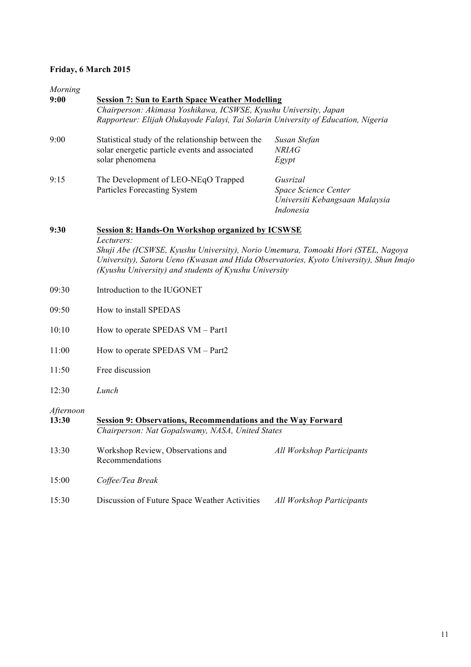# **Friday, 6 March 2015**

| Morning<br>9:00    |                                                                                                                                                                                                                                                   |                                             |  |  |  |  |  |
|--------------------|---------------------------------------------------------------------------------------------------------------------------------------------------------------------------------------------------------------------------------------------------|---------------------------------------------|--|--|--|--|--|
|                    | <b>Session 7: Sun to Earth Space Weather Modelling</b><br>Chairperson: Akimasa Yoshikawa, ICSWSE, Kyushu University, Japan                                                                                                                        |                                             |  |  |  |  |  |
|                    | Rapporteur: Elijah Olukayode Falayi, Tai Solarin University of Education, Nigeria                                                                                                                                                                 |                                             |  |  |  |  |  |
| 9:00               | Statistical study of the relationship between the<br>solar energetic particle events and associated                                                                                                                                               | Susan Stefan<br><b>NRIAG</b>                |  |  |  |  |  |
|                    | solar phenomena                                                                                                                                                                                                                                   | Egypt                                       |  |  |  |  |  |
| 9:15               | The Development of LEO-NEqO Trapped                                                                                                                                                                                                               | Gusrizal                                    |  |  |  |  |  |
|                    | <b>Particles Forecasting System</b>                                                                                                                                                                                                               | Space Science Center                        |  |  |  |  |  |
|                    |                                                                                                                                                                                                                                                   | Universiti Kebangsaan Malaysia<br>Indonesia |  |  |  |  |  |
| 9:30               | <b>Session 8: Hands-On Workshop organized by ICSWSE</b>                                                                                                                                                                                           |                                             |  |  |  |  |  |
|                    | Lecturers:<br>Shuji Abe (ICSWSE, Kyushu University), Norio Umemura, Tomoaki Hori (STEL, Nagoya<br>University), Satoru Ueno (Kwasan and Hida Observatories, Kyoto University), Shun Imajo<br>(Kyushu University) and students of Kyushu University |                                             |  |  |  |  |  |
| 09:30              | Introduction to the IUGONET                                                                                                                                                                                                                       |                                             |  |  |  |  |  |
| 09:50              | How to install SPEDAS                                                                                                                                                                                                                             |                                             |  |  |  |  |  |
| 10:10              | How to operate SPEDAS VM - Part1                                                                                                                                                                                                                  |                                             |  |  |  |  |  |
| 11:00              | How to operate SPEDAS VM - Part2                                                                                                                                                                                                                  |                                             |  |  |  |  |  |
| 11:50              | Free discussion                                                                                                                                                                                                                                   |                                             |  |  |  |  |  |
| 12:30              | Lunch                                                                                                                                                                                                                                             |                                             |  |  |  |  |  |
| Afternoon<br>13:30 | <b>Session 9: Observations, Recommendations and the Way Forward</b><br>Chairperson: Nat Gopalswamy, NASA, United States                                                                                                                           |                                             |  |  |  |  |  |
| 13:30              | Workshop Review, Observations and<br>Recommendations                                                                                                                                                                                              | <b>All Workshop Participants</b>            |  |  |  |  |  |
| 15:00              | Coffee/Tea Break                                                                                                                                                                                                                                  |                                             |  |  |  |  |  |
| 15:30              | Discussion of Future Space Weather Activities                                                                                                                                                                                                     | <b>All Workshop Participants</b>            |  |  |  |  |  |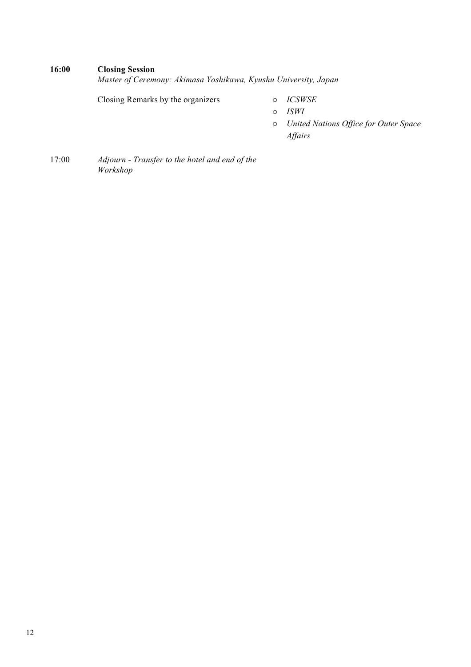# **16:00 Closing Session**

*Master of Ceremony: Akimasa Yoshikawa, Kyushu University, Japan*

Closing Remarks by the organizers o *ICSWSE*

- o *ISWI*
- o *United Nations Office for Outer Space Affairs*
- 17:00 *Adjourn - Transfer to the hotel and end of the Workshop*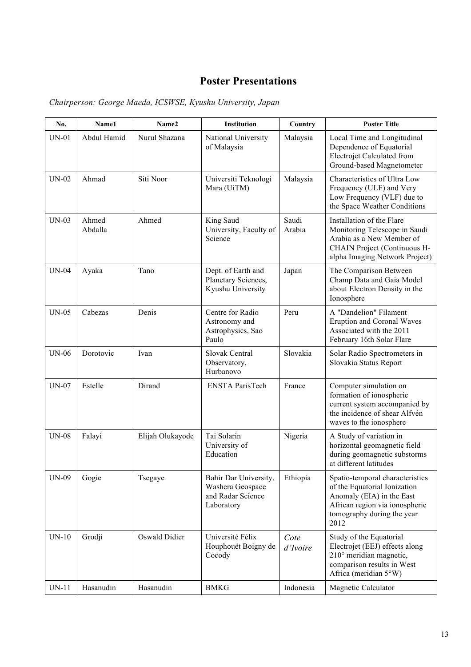# **Poster Presentations**

| No.          | Name1            | Name2            | Institution                                                                  | Country          | <b>Poster Title</b>                                                                                                                                                  |
|--------------|------------------|------------------|------------------------------------------------------------------------------|------------------|----------------------------------------------------------------------------------------------------------------------------------------------------------------------|
| $UN-01$      | Abdul Hamid      | Nurul Shazana    | National University<br>of Malaysia                                           | Malaysia         | Local Time and Longitudinal<br>Dependence of Equatorial<br>Electrojet Calculated from<br>Ground-based Magnetometer                                                   |
| $UN-02$      | Ahmad            | Siti Noor        | Universiti Teknologi<br>Mara (UiTM)                                          | Malaysia         | Characteristics of Ultra Low<br>Frequency (ULF) and Very<br>Low Frequency (VLF) due to<br>the Space Weather Conditions                                               |
| $UN-03$      | Ahmed<br>Abdalla | Ahmed            | King Saud<br>University, Faculty of<br>Science                               | Saudi<br>Arabia  | Installation of the Flare<br>Monitoring Telescope in Saudi<br>Arabia as a New Member of<br>CHAIN Project (Continuous H-<br>alpha Imaging Network Project)            |
| <b>UN-04</b> | Ayaka            | Tano             | Dept. of Earth and<br>Planetary Sciences,<br>Kyushu University               | Japan            | The Comparison Between<br>Champ Data and Gaia Model<br>about Electron Density in the<br>Ionosphere                                                                   |
| $UN-05$      | Cabezas          | Denis            | Centre for Radio<br>Astronomy and<br>Astrophysics, Sao<br>Paulo              | Peru             | A "Dandelion" Filament<br><b>Eruption and Coronal Waves</b><br>Associated with the 2011<br>February 16th Solar Flare                                                 |
| <b>UN-06</b> | Dorotovic        | Ivan             | Slovak Central<br>Observatory,<br>Hurbanovo                                  | Slovakia         | Solar Radio Spectrometers in<br>Slovakia Status Report                                                                                                               |
| $UN-07$      | Estelle          | Dirand           | <b>ENSTA ParisTech</b>                                                       | France           | Computer simulation on<br>formation of ionospheric<br>current system accompanied by<br>the incidence of shear Alfvén<br>waves to the ionosphere                      |
| $UN-08$      | Falayi           | Elijah Olukayode | Tai Solarin<br>University of<br>Education                                    | Nigeria          | A Study of variation in<br>horizontal geomagnetic field<br>during geomagnetic substorms<br>at different latitudes                                                    |
| <b>UN-09</b> | Gogie            | Tsegaye          | Bahir Dar University,<br>Washera Geospace<br>and Radar Science<br>Laboratory | Ethiopia         | Spatio-temporal characteristics<br>of the Equatorial Ionization<br>Anomaly (EIA) in the East<br>African region via ionospheric<br>tomography during the year<br>2012 |
| $UN-10$      | Grodji           | Oswald Didier    | Université Félix<br>Houphouët Boigny de<br>Cocody                            | Cote<br>d'Ivoire | Study of the Equatorial<br>Electrojet (EEJ) effects along<br>210° meridian magnetic,<br>comparison results in West<br>Africa (meridian 5°W)                          |
| $UN-11$      | Hasanudin        | Hasanudin        | <b>BMKG</b>                                                                  | Indonesia        | Magnetic Calculator                                                                                                                                                  |

*Chairperson: George Maeda, ICSWSE, Kyushu University, Japan*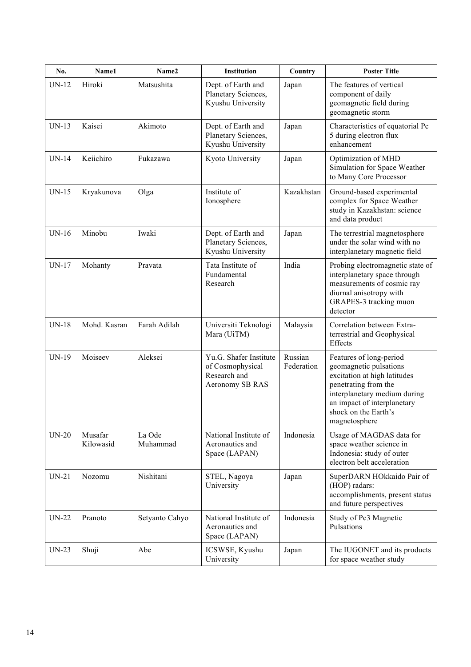| No.          | Name1                | Name2              | <b>Institution</b>                                                            | Country               | <b>Poster Title</b>                                                                                                                                                                                               |
|--------------|----------------------|--------------------|-------------------------------------------------------------------------------|-----------------------|-------------------------------------------------------------------------------------------------------------------------------------------------------------------------------------------------------------------|
| <b>UN-12</b> | Hiroki               | Matsushita         | Dept. of Earth and<br>Planetary Sciences,<br>Kyushu University                | Japan                 | The features of vertical<br>component of daily<br>geomagnetic field during<br>geomagnetic storm                                                                                                                   |
| $UN-13$      | Kaisei               | Akimoto            | Dept. of Earth and<br>Planetary Sciences,<br>Kyushu University                | Japan                 | Characteristics of equatorial Pc<br>5 during electron flux<br>enhancement                                                                                                                                         |
| <b>UN-14</b> | Keiichiro            | Fukazawa           | Kyoto University                                                              | Japan                 | Optimization of MHD<br>Simulation for Space Weather<br>to Many Core Processor                                                                                                                                     |
| $UN-15$      | Kryakunova           | Olga               | Institute of<br>Ionosphere                                                    | Kazakhstan            | Ground-based experimental<br>complex for Space Weather<br>study in Kazakhstan: science<br>and data product                                                                                                        |
| $UN-16$      | Minobu               | Iwaki              | Dept. of Earth and<br>Planetary Sciences,<br>Kyushu University                | Japan                 | The terrestrial magnetosphere<br>under the solar wind with no<br>interplanetary magnetic field                                                                                                                    |
| $UN-17$      | Mohanty              | Pravata            | Tata Institute of<br>Fundamental<br>Research                                  | India                 | Probing electromagnetic state of<br>interplanetary space through<br>measurements of cosmic ray<br>diurnal anisotropy with<br>GRAPES-3 tracking muon<br>detector                                                   |
| <b>UN-18</b> | Mohd. Kasran         | Farah Adilah       | Universiti Teknologi<br>Mara (UiTM)                                           | Malaysia              | Correlation between Extra-<br>terrestrial and Geophysical<br>Effects                                                                                                                                              |
| <b>UN-19</b> | Moiseev              | Aleksei            | Yu.G. Shafer Institute<br>of Cosmophysical<br>Research and<br>Aeronomy SB RAS | Russian<br>Federation | Features of long-period<br>geomagnetic pulsations<br>excitation at high latitudes<br>penetrating from the<br>interplanetary medium during<br>an impact of interplanetary<br>shock on the Earth's<br>magnetosphere |
| $UN-20$      | Musafar<br>Kilowasid | La Ode<br>Muhammad | National Institute of<br>Aeronautics and<br>Space (LAPAN)                     | Indonesia             | Usage of MAGDAS data for<br>space weather science in<br>Indonesia: study of outer<br>electron belt acceleration                                                                                                   |
| $UN-21$      | Nozomu               | Nishitani          | STEL, Nagoya<br>University                                                    | Japan                 | SuperDARN HOkkaido Pair of<br>(HOP) radars:<br>accomplishments, present status<br>and future perspectives                                                                                                         |
| $UN-22$      | Pranoto              | Setyanto Cahyo     | National Institute of<br>Aeronautics and<br>Space (LAPAN)                     | Indonesia             | Study of Pc3 Magnetic<br>Pulsations                                                                                                                                                                               |
| $UN-23$      | Shuji                | Abe                | ICSWSE, Kyushu<br>University                                                  | Japan                 | The IUGONET and its products<br>for space weather study                                                                                                                                                           |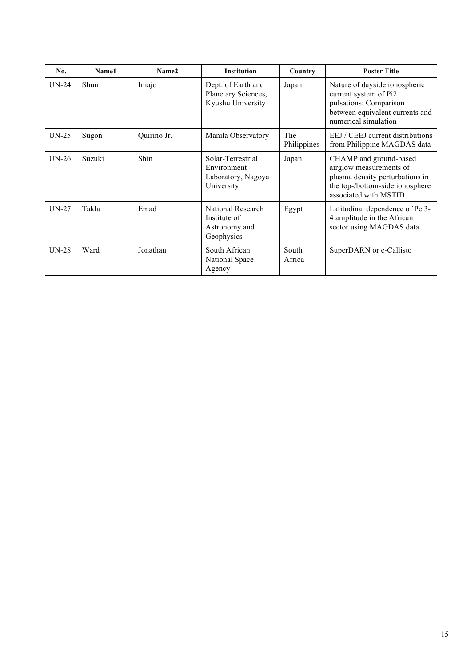| No.     | Name1  | Name2       | <b>Institution</b>                                                   | Country            | <b>Poster Title</b>                                                                                                                              |
|---------|--------|-------------|----------------------------------------------------------------------|--------------------|--------------------------------------------------------------------------------------------------------------------------------------------------|
| $UN-24$ | Shun   | Imajo       | Dept. of Earth and<br>Planetary Sciences,<br>Kyushu University       | Japan              | Nature of dayside ionospheric<br>current system of Pi2<br>pulsations: Comparison<br>between equivalent currents and<br>numerical simulation      |
| $UN-25$ | Sugon  | Quirino Jr. | Manila Observatory                                                   | The<br>Philippines | EEJ / CEEJ current distributions<br>from Philippine MAGDAS data                                                                                  |
| $UN-26$ | Suzuki | Shin        | Solar-Terrestrial<br>Environment<br>Laboratory, Nagoya<br>University | Japan              | CHAMP and ground-based<br>airglow measurements of<br>plasma density perturbations in<br>the top-/bottom-side ionosphere<br>associated with MSTID |
| $UN-27$ | Takla  | Emad        | National Research<br>Institute of<br>Astronomy and<br>Geophysics     | Egypt              | Latitudinal dependence of Pc 3-<br>4 amplitude in the African<br>sector using MAGDAS data                                                        |
| $UN-28$ | Ward   | Jonathan    | South African<br>National Space<br>Agency                            | South<br>Africa    | SuperDARN or e-Callisto                                                                                                                          |